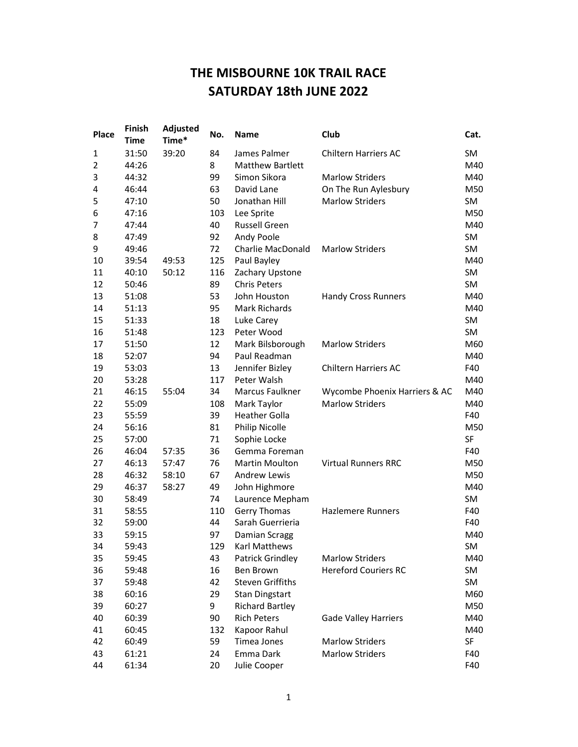## THE MISBOURNE 10K TRAIL RACE SATURDAY 18th JUNE 2022

| Place          | <b>Finish</b><br><b>Time</b> | Adjusted<br>Time* | No. | <b>Name</b>             | Club                          | Cat.      |
|----------------|------------------------------|-------------------|-----|-------------------------|-------------------------------|-----------|
| 1              | 31:50                        | 39:20             | 84  | James Palmer            | <b>Chiltern Harriers AC</b>   | SM        |
| $\overline{2}$ | 44:26                        |                   | 8   | <b>Matthew Bartlett</b> |                               | M40       |
| 3              | 44:32                        |                   | 99  | Simon Sikora            | <b>Marlow Striders</b>        | M40       |
| 4              | 46:44                        |                   | 63  | David Lane              | On The Run Aylesbury          | M50       |
| 5              | 47:10                        |                   | 50  | Jonathan Hill           | <b>Marlow Striders</b>        | <b>SM</b> |
| 6              | 47:16                        |                   | 103 | Lee Sprite              |                               | M50       |
| 7              | 47:44                        |                   | 40  | Russell Green           |                               | M40       |
| 8              | 47:49                        |                   | 92  | Andy Poole              |                               | SM        |
| 9              | 49:46                        |                   | 72  | Charlie MacDonald       | <b>Marlow Striders</b>        | SM        |
| 10             | 39:54                        | 49:53             | 125 | Paul Bayley             |                               | M40       |
| 11             | 40:10                        | 50:12             | 116 | Zachary Upstone         |                               | <b>SM</b> |
| 12             | 50:46                        |                   | 89  | <b>Chris Peters</b>     |                               | <b>SM</b> |
| 13             | 51:08                        |                   | 53  | John Houston            | <b>Handy Cross Runners</b>    | M40       |
| 14             | 51:13                        |                   | 95  | <b>Mark Richards</b>    |                               | M40       |
| 15             | 51:33                        |                   | 18  | Luke Carey              |                               | <b>SM</b> |
| 16             | 51:48                        |                   | 123 | Peter Wood              |                               | SM        |
| 17             | 51:50                        |                   | 12  | Mark Bilsborough        | <b>Marlow Striders</b>        | M60       |
| 18             | 52:07                        |                   | 94  | Paul Readman            |                               | M40       |
| 19             | 53:03                        |                   | 13  | Jennifer Bizley         | <b>Chiltern Harriers AC</b>   | F40       |
| 20             | 53:28                        |                   | 117 | Peter Walsh             |                               | M40       |
| 21             | 46:15                        | 55:04             | 34  | Marcus Faulkner         | Wycombe Phoenix Harriers & AC | M40       |
| 22             | 55:09                        |                   | 108 | Mark Taylor             | <b>Marlow Striders</b>        | M40       |
| 23             | 55:59                        |                   | 39  | <b>Heather Golla</b>    |                               | F40       |
| 24             | 56:16                        |                   | 81  | <b>Philip Nicolle</b>   |                               | M50       |
| 25             | 57:00                        |                   | 71  | Sophie Locke            |                               | SF        |
| 26             | 46:04                        | 57:35             | 36  | Gemma Foreman           |                               | F40       |
| 27             | 46:13                        | 57:47             | 76  | Martin Moulton          | <b>Virtual Runners RRC</b>    | M50       |
| 28             | 46:32                        | 58:10             | 67  | <b>Andrew Lewis</b>     |                               | M50       |
| 29             | 46:37                        | 58:27             | 49  | John Highmore           |                               | M40       |
| 30             | 58:49                        |                   | 74  | Laurence Mepham         |                               | SM        |
| 31             | 58:55                        |                   | 110 | <b>Gerry Thomas</b>     | <b>Hazlemere Runners</b>      | F40       |
| 32             | 59:00                        |                   | 44  | Sarah Guerrieria        |                               | F40       |
| 33             | 59:15                        |                   | 97  | Damian Scragg           |                               | M40       |
| 34             | 59:43                        |                   | 129 | <b>Karl Matthews</b>    |                               | SM        |
| 35             | 59:45                        |                   | 43  | Patrick Grindley        | <b>Marlow Striders</b>        | M40       |
| 36             | 59:48                        |                   | 16  | Ben Brown               | <b>Hereford Couriers RC</b>   | SM        |
| 37             | 59:48                        |                   | 42  | <b>Steven Griffiths</b> |                               | SM        |
| 38             | 60:16                        |                   | 29  | <b>Stan Dingstart</b>   |                               | M60       |
| 39             | 60:27                        |                   | 9   | <b>Richard Bartley</b>  |                               | M50       |
| 40             | 60:39                        |                   | 90  | <b>Rich Peters</b>      | <b>Gade Valley Harriers</b>   | M40       |
| 41             | 60:45                        |                   | 132 | Kapoor Rahul            |                               | M40       |
| 42             | 60:49                        |                   | 59  | Timea Jones             | <b>Marlow Striders</b>        | SF        |
| 43             | 61:21                        |                   | 24  | Emma Dark               | <b>Marlow Striders</b>        | F40       |
| 44             | 61:34                        |                   | 20  | Julie Cooper            |                               | F40       |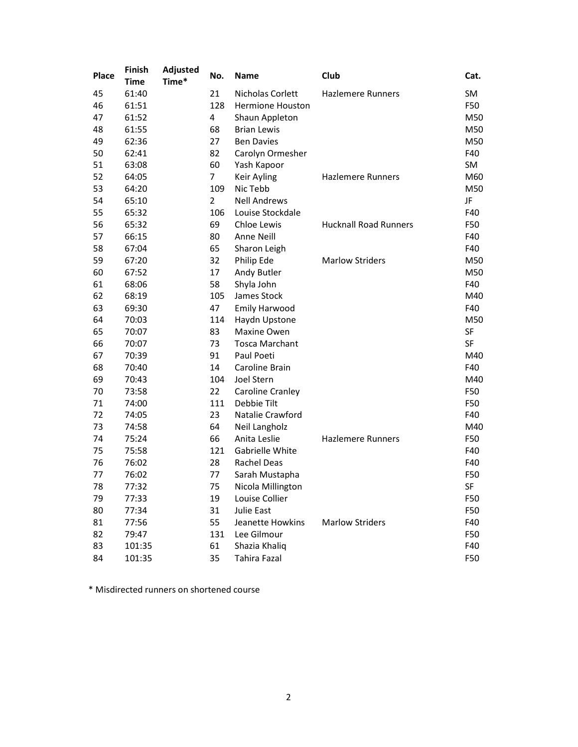| Place | <b>Finish</b><br><b>Time</b> | Adjusted<br>Time* | No.            | <b>Name</b>             | Club                         | Cat.      |
|-------|------------------------------|-------------------|----------------|-------------------------|------------------------------|-----------|
| 45    | 61:40                        |                   | 21             | Nicholas Corlett        | <b>Hazlemere Runners</b>     | SM        |
| 46    | 61:51                        |                   | 128            | <b>Hermione Houston</b> |                              | F50       |
| 47    | 61:52                        |                   | 4              | Shaun Appleton          |                              | M50       |
| 48    | 61:55                        |                   | 68             | <b>Brian Lewis</b>      |                              | M50       |
| 49    | 62:36                        |                   | 27             | <b>Ben Davies</b>       |                              | M50       |
| 50    | 62:41                        |                   | 82             | Carolyn Ormesher        |                              | F40       |
| 51    | 63:08                        |                   | 60             | Yash Kapoor             |                              | <b>SM</b> |
| 52    | 64:05                        |                   | $\overline{7}$ | Keir Ayling             | <b>Hazlemere Runners</b>     | M60       |
| 53    | 64:20                        |                   | 109            | Nic Tebb                |                              | M50       |
| 54    | 65:10                        |                   | $\overline{2}$ | <b>Nell Andrews</b>     |                              | JF        |
| 55    | 65:32                        |                   | 106            | Louise Stockdale        |                              | F40       |
| 56    | 65:32                        |                   | 69             | Chloe Lewis             | <b>Hucknall Road Runners</b> | F50       |
| 57    | 66:15                        |                   | 80             | Anne Neill              |                              | F40       |
| 58    | 67:04                        |                   | 65             | Sharon Leigh            |                              | F40       |
| 59    | 67:20                        |                   | 32             | Philip Ede              | <b>Marlow Striders</b>       | M50       |
| 60    | 67:52                        |                   | 17             | Andy Butler             |                              | M50       |
| 61    | 68:06                        |                   | 58             | Shyla John              |                              | F40       |
| 62    | 68:19                        |                   | 105            | James Stock             |                              | M40       |
| 63    | 69:30                        |                   | 47             | <b>Emily Harwood</b>    |                              | F40       |
| 64    | 70:03                        |                   | 114            | Haydn Upstone           |                              | M50       |
| 65    | 70:07                        |                   | 83             | Maxine Owen             |                              | SF        |
| 66    | 70:07                        |                   | 73             | <b>Tosca Marchant</b>   |                              | SF        |
| 67    | 70:39                        |                   | 91             | Paul Poeti              |                              | M40       |
| 68    | 70:40                        |                   | 14             | Caroline Brain          |                              | F40       |
| 69    | 70:43                        |                   | 104            | Joel Stern              |                              | M40       |
| 70    | 73:58                        |                   | 22             | Caroline Cranley        |                              | F50       |
| 71    | 74:00                        |                   | 111            | Debbie Tilt             |                              | F50       |
| 72    | 74:05                        |                   | 23             | Natalie Crawford        |                              | F40       |
| 73    | 74:58                        |                   | 64             | Neil Langholz           |                              | M40       |
| 74    | 75:24                        |                   | 66             | Anita Leslie            | <b>Hazlemere Runners</b>     | F50       |
| 75    | 75:58                        |                   | 121            | Gabrielle White         |                              | F40       |
| 76    | 76:02                        |                   | 28             | Rachel Deas             |                              | F40       |
| 77    | 76:02                        |                   | 77             | Sarah Mustapha          |                              | F50       |
| 78    | 77:32                        |                   | 75             | Nicola Millington       |                              | SF        |
| 79    | 77:33                        |                   | 19             | Louise Collier          |                              | F50       |
| 80    | 77:34                        |                   | 31             | Julie East              |                              | F50       |
| 81    | 77:56                        |                   | 55             | Jeanette Howkins        | <b>Marlow Striders</b>       | F40       |
| 82    | 79:47                        |                   | 131            | Lee Gilmour             |                              | F50       |
| 83    | 101:35                       |                   | 61             | Shazia Khaliq           |                              | F40       |
| 84    | 101:35                       |                   | 35             | <b>Tahira Fazal</b>     |                              | F50       |

\* Misdirected runners on shortened course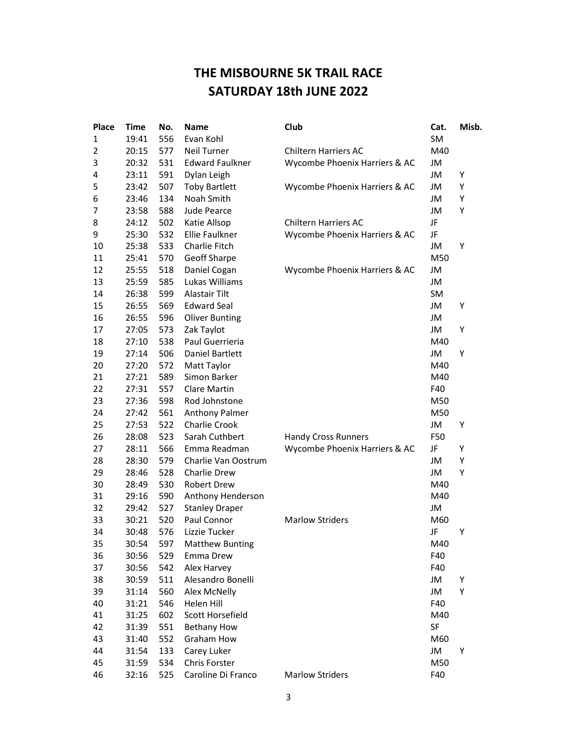## THE MISBOURNE 5K TRAIL RACE SATURDAY 18th JUNE 2022

| <b>Place</b>   | <b>Time</b> | No. | <b>Name</b>            | Club                          | Cat. | Misb. |
|----------------|-------------|-----|------------------------|-------------------------------|------|-------|
| 1              | 19:41       | 556 | Evan Kohl              |                               | SM   |       |
| $\overline{2}$ | 20:15       | 577 | <b>Neil Turner</b>     | <b>Chiltern Harriers AC</b>   | M40  |       |
| 3              | 20:32       | 531 | <b>Edward Faulkner</b> | Wycombe Phoenix Harriers & AC | JM   |       |
| 4              | 23:11       | 591 | Dylan Leigh            |                               | JM   | Υ     |
| 5              | 23:42       | 507 | <b>Toby Bartlett</b>   | Wycombe Phoenix Harriers & AC | JM   | Υ     |
| 6              | 23:46       | 134 | Noah Smith             |                               | JM   | Υ     |
| 7              | 23:58       | 588 | Jude Pearce            |                               | JM   | Υ     |
| 8              | 24:12       | 502 | Katie Allsop           | <b>Chiltern Harriers AC</b>   | JF   |       |
| 9              | 25:30       | 532 | <b>Ellie Faulkner</b>  | Wycombe Phoenix Harriers & AC | JF   |       |
| 10             | 25:38       | 533 | Charlie Fitch          |                               | JM   | Y     |
| 11             | 25:41       | 570 | Geoff Sharpe           |                               | M50  |       |
| 12             | 25:55       | 518 | Daniel Cogan           | Wycombe Phoenix Harriers & AC | JM   |       |
| 13             | 25:59       | 585 | Lukas Williams         |                               | JM   |       |
| 14             | 26:38       | 599 | Alastair Tilt          |                               | SM   |       |
| 15             | 26:55       | 569 | <b>Edward Seal</b>     |                               | JM   | Υ     |
| 16             | 26:55       | 596 | <b>Oliver Bunting</b>  |                               | JM   |       |
| 17             | 27:05       | 573 | Zak Taylot             |                               | JM   | Υ     |
| 18             | 27:10       | 538 | Paul Guerrieria        |                               | M40  |       |
| 19             | 27:14       | 506 | Daniel Bartlett        |                               | JM   | Y     |
| 20             | 27:20       | 572 | Matt Taylor            |                               | M40  |       |
| 21             | 27:21       | 589 | Simon Barker           |                               | M40  |       |
| 22             | 27:31       | 557 | Clare Martin           |                               | F40  |       |
| 23             | 27:36       | 598 | Rod Johnstone          |                               | M50  |       |
| 24             | 27:42       | 561 | <b>Anthony Palmer</b>  |                               | M50  |       |
| 25             | 27:53       | 522 | Charlie Crook          |                               | JM   | Υ     |
| 26             | 28:08       | 523 | Sarah Cuthbert         | <b>Handy Cross Runners</b>    | F50  |       |
| 27             | 28:11       | 566 | Emma Readman           | Wycombe Phoenix Harriers & AC | JF   | Υ     |
| 28             | 28:30       | 579 | Charlie Van Oostrum    |                               | JM   | Υ     |
| 29             | 28:46       | 528 | Charlie Drew           |                               | JM   | Υ     |
| 30             | 28:49       | 530 | <b>Robert Drew</b>     |                               | M40  |       |
| 31             | 29:16       | 590 | Anthony Henderson      |                               | M40  |       |
| 32             | 29:42       | 527 | <b>Stanley Draper</b>  |                               | JM   |       |
| 33             | 30:21       | 520 | Paul Connor            | <b>Marlow Striders</b>        | M60  |       |
| 34             | 30:48       | 576 | Lizzie Tucker          |                               | JF   | Y     |
| 35             | 30:54       | 597 | <b>Matthew Bunting</b> |                               | M40  |       |
| 36             | 30:56       | 529 | Emma Drew              |                               | F40  |       |
| 37             | 30:56       | 542 | Alex Harvey            |                               | F40  |       |
| 38             | 30:59       | 511 | Alesandro Bonelli      |                               | JM   | Υ     |
| 39             | 31:14       | 560 | Alex McNelly           |                               | JM   | Υ     |
| 40             | 31:21       | 546 | Helen Hill             |                               | F40  |       |
| 41             | 31:25       | 602 | Scott Horsefield       |                               | M40  |       |
| 42             | 31:39       | 551 | <b>Bethany How</b>     |                               | SF   |       |
| 43             | 31:40       | 552 | Graham How             |                               | M60  |       |
| 44             | 31:54       | 133 | Carey Luker            |                               | JM   | Υ     |
| 45             | 31:59       | 534 | Chris Forster          |                               | M50  |       |
| 46             | 32:16       | 525 | Caroline Di Franco     | <b>Marlow Striders</b>        | F40  |       |